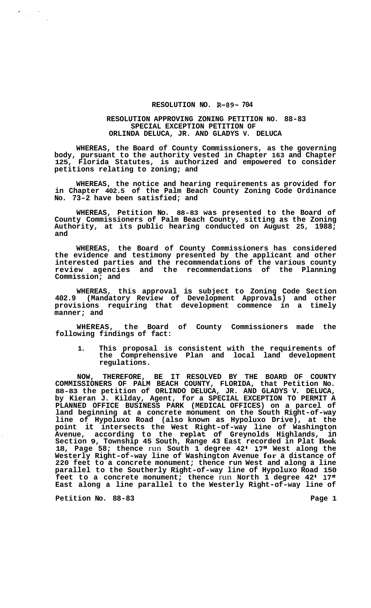## **RESOLUTION NO. R-89- 704**

## **RESOLUTION APPROVING ZONING PETITION NO. 88-83 SPECIAL EXCEPTION PETITION OF ORLINDA DELUCA, JR. AND GLADYS V. DELUCA**

**WHEREAS, the Board of County Commissioners, as the governing body, pursuant to the authority vested in Chapter 163 and Chapter 125, Florida Statutes, is authorized and empowered to consider petitions relating to zoning; and** 

**WHEREAS, the notice and hearing requirements as provided for in Chapter 402.5 of the Palm Beach County Zoning Code Ordinance No. 73-2 have been satisfied; and** 

**WHEREAS, Petition No. 88-83 was presented to the Board of County Commissioners of Palm Beach County, sitting as the Zoning Authority, at its public hearing conducted on August 25, 1988; and** 

**WHEREAS, the Board of County Commissioners has considered the evidence and testimony presented by the applicant and other interested parties and the recommendations of the various county review agencies and the recommendations of the Planning Commission; and** 

**WHEREAS, this approval is subject to Zoning Code Section 402.9 (Mandatory Review of Development Approvals) and other provisions requiring that development commence in a timely manner; and** 

**WHEREAS, the Board of County Commissioners made the following findings of fact:** 

**1. This proposal is consistent with the requirements of the Comprehensive Plan and local land development regulations.** 

**NOW, THEREFORE, BE IT RESOLVED BY THE BOARD OF COUNTY COMMISSIONERS OF PALM BEACH COUNTY, FLORIDA, that Petition No. 88-83 the petition of ORLINDO DELUCA, JR. AND GLADYS V. DELUCA, by Kieran J. Kilday, Agent, for a SPECIAL EXCEPTION TO PERMIT A PLANNED OFFICE BUSINESS PARK (MEDICAL OFFICES) on a parcel of land beginning at a concrete monument on the South Right-of-way line of Hypoluxo Road (also known as Hypoluxo Drive), at the point it intersects the West Right-of-way line of Washington Avenue, according to the replat of Greynolds Highlands, in Section 9, Township 45 South, Range 43 East recorded in Plat Book**  18, Page 58; thence run South 1 degree 42' 17" West along the **Westerly Right-of-way line of Washington Avenue for a distance of 220 feet to a concrete monument; thence run West and along a line parallel to the Southerly Right-of-way line of Hypoluxo Road 150**  feet to a concrete monument; thence run North 1 degree 42' 17" **East along a line parallel to the Westerly Right-of-way line of** 

Petition No. 88-83 **Page 1 Page 1** 

 $\mathcal{L} = \frac{1}{2} \sum_{i=1}^{n} \frac{1}{i} \sum_{j=1}^{n} \frac{1}{j} \sum_{j=1}^{n} \frac{1}{j} \sum_{j=1}^{n} \frac{1}{j} \sum_{j=1}^{n} \frac{1}{j} \sum_{j=1}^{n} \frac{1}{j} \sum_{j=1}^{n} \frac{1}{j} \sum_{j=1}^{n} \frac{1}{j} \sum_{j=1}^{n} \frac{1}{j} \sum_{j=1}^{n} \frac{1}{j} \sum_{j=1}^{n} \frac{1}{j} \sum_{j=1}^{n} \frac{1}{j} \sum$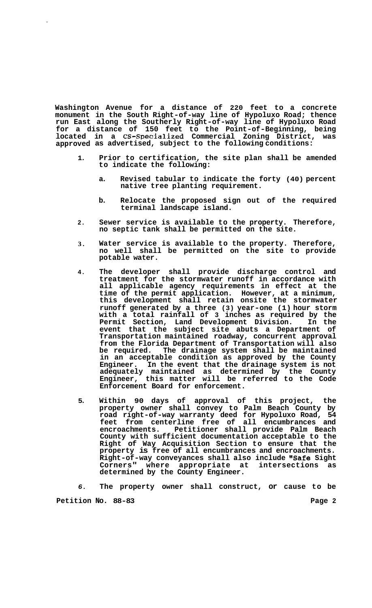**Washington Avenue for a distance of 220 feet to a concrete monument in the South Right-of-way line of Hypoluxo Road; thence run East along the Southerly Right-of-way line of Hypoluxo Road for a distance of 150 feet to the Point-of-Beginning, being located in a CS-SDecialized Commercial Zoning District, was approved as advertised, subject to the following conditions:** 

- **1. Prior to certification, the site plan shall be amended to indicate the following:** 
	- **a. Revised tabular to indicate the forty (40) percent native tree planting requirement.**
	- **b. Relocate the proposed sign out of the required terminal landscape island.**
- **2. Sewer service is available to the property. Therefore, no septic tank shall be permitted on the site.**
- **3. Water service is available to the property. Therefore, no well shall be permitted on the site to provide potable water.**
- **4. The developer shall provide discharge control and treatment for the stormwater runoff in accordance with all applicable agency requirements in effect at the time of the permit application. However, at a minimum, this development shall retain onsite the stormwater runoff generated by a three (3) year-one (1) hour storm with a total rainfall of 3 inches as required by the Permit Section, Land Development Division. In the event that the subject site abuts a Department of Transportation maintained roadway, concurrent approval from the Florida Department of Transportation will also**  The drainage system shall be maintained **in an acceptable condition as approved by the County Engineer. In the event that the drainage system is not adequately maintained as determined by the County Engineer, this matter will be referred to the Code Enforcement Board for enforcement.**
- **5. Within 90 days of approval of this project, the property owner shall convey to Palm Beach County by road right-of-way warranty deed for Hypoluxo Road, 54 feet from centerline free of all encumbrances and encroachments. Petitioner shall provide Palm Beach County with sufficient documentation acceptable to the Right of Way Acquisition Section to ensure that the property is free of all encumbrances and encroachments. Right-of-way conveyances shall also include "Safe Sight**  Corners" where appropriate at **determined by the County Engineer.**

*6.*  **The property owner shall construct, or cause to be** 

Petition No. 88-83 Page 2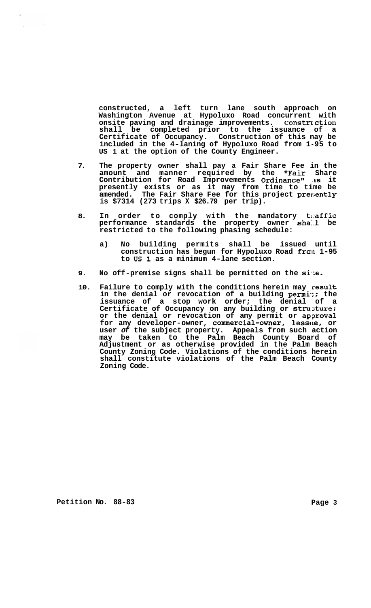**constructed, a left turn lane south approach on Washington Avenue at Hypoluxo Road concurrent with onsite paving and drainage improvements. Constrcction shall be completed prior to the issuance of a Certificate of Occupancy. Construction of this nay be included in the 4-laning of Hypoluxo Road from 1-95 to US 1 at the option of the County Engineer.** 

- **7. The property owner shall pay a Fair Share Fee in the amount and manner required by the 'IFair Share Contribution for Road Improvements Ordinance" 'as it presently exists or as it may from time to time be amended. The Fair Share Fee for this project preriently is \$7314 (273 trips X \$26.79 per trip).**
- **8. In order to comply with the mandatory t1:affic performance standards the property owner sha:.l be restricted to the following phasing schedule:** 
	- **a) No building permits shall be issued until construction has begun for Hypoluxo Road frola 1-95 to US 1 as a minimum 4-lane section.**
- **9. No off-premise signs shall be permitted on the si.:e.**
- **10. Failure to comply with the conditions herein may result in the denial or revocation of a building permi.:; the issuance of a stop work order; the denial of a Certificate of Occupancy on any building or struzture;**  or the denial or revocation of any permit or approval **for any developer-owner, commercial-owner, lesstie, or user** *of* **the subject property. Appeals from such action may be taken to the Palm Beach County Board of Adjustment or as otherwise provided in the Palm Beach County Zoning Code. Violations of the conditions herein shall constitute violations of the Palm Beach County Zoning Code.**

Petition No. 88-83 Page 3